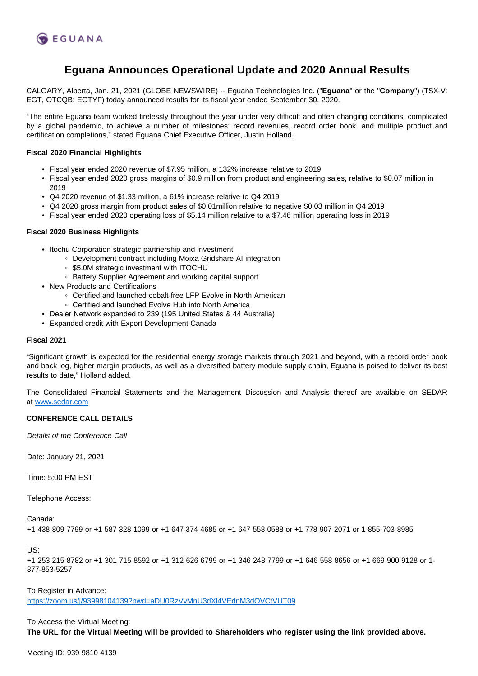

# **Eguana Announces Operational Update and 2020 Annual Results**

CALGARY, Alberta, Jan. 21, 2021 (GLOBE NEWSWIRE) -- Eguana Technologies Inc. ("**Eguana**" or the "**Company**") (TSX-V: EGT, OTCQB: EGTYF) today announced results for its fiscal year ended September 30, 2020.

"The entire Eguana team worked tirelessly throughout the year under very difficult and often changing conditions, complicated by a global pandemic, to achieve a number of milestones: record revenues, record order book, and multiple product and certification completions," stated Eguana Chief Executive Officer, Justin Holland.

## **Fiscal 2020 Financial Highlights**

- Fiscal year ended 2020 revenue of \$7.95 million, a 132% increase relative to 2019
- Fiscal year ended 2020 gross margins of \$0.9 million from product and engineering sales, relative to \$0.07 million in 2019
- Q4 2020 revenue of \$1.33 million, a 61% increase relative to Q4 2019
- Q4 2020 gross margin from product sales of \$0.01million relative to negative \$0.03 million in Q4 2019
- Fiscal year ended 2020 operating loss of \$5.14 million relative to a \$7.46 million operating loss in 2019

## **Fiscal 2020 Business Highlights**

- Itochu Corporation strategic partnership and investment
	- Development contract including Moixa Gridshare AI integration
	- \$5.0M strategic investment with ITOCHU
	- Battery Supplier Agreement and working capital support
- New Products and Certifications
	- Certified and launched cobalt-free LFP Evolve in North American
	- Certified and launched Evolve Hub into North America
- Dealer Network expanded to 239 (195 United States & 44 Australia)
- Expanded credit with Export Development Canada

### **Fiscal 2021**

"Significant growth is expected for the residential energy storage markets through 2021 and beyond, with a record order book and back log, higher margin products, as well as a diversified battery module supply chain, Eguana is poised to deliver its best results to date," Holland added.

The Consolidated Financial Statements and the Management Discussion and Analysis thereof are available on SEDAR at [www.sedar.com](http://www.sedar.com/)

#### **CONFERENCE CALL DETAILS**

Details of the Conference Call

Date: January 21, 2021

Time: 5:00 PM EST

Telephone Access:

Canada:

```
+1 438 809 7799 or +1 587 328 1099 or +1 647 374 4685 or +1 647 558 0588 or +1 778 907 2071 or 1-855-703-8985
```
US:

+1 253 215 8782 or +1 301 715 8592 or +1 312 626 6799 or +1 346 248 7799 or +1 646 558 8656 or +1 669 900 9128 or 1- 877-853-5257

To Register in Advance:

<https://zoom.us/j/93998104139?pwd=aDU0RzVvMnU3dXl4VEdnM3dOVCtVUT09>

To Access the Virtual Meeting:

**The URL for the Virtual Meeting will be provided to Shareholders who register using the link provided above.**

Meeting ID: 939 9810 4139